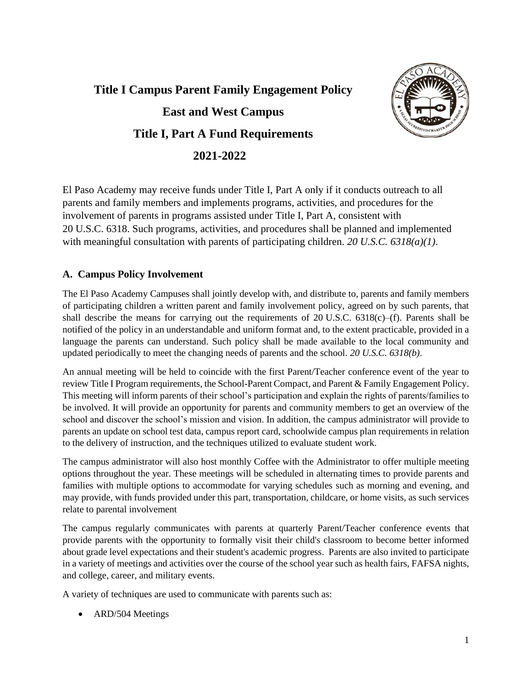# **Title I Campus Parent Family Engagement Policy East and West Campus Title I, Part A Fund Requirements 2021-2022**



El Paso Academy may receive funds under Title I, Part A only if it conducts outreach to all parents and family members and implements programs, activities, and procedures for the involvement of parents in programs assisted under Title I, Part A, consistent with 20 U.S.C. 6318. Such programs, activities, and procedures shall be planned and implemented with meaningful consultation with parents of participating children. *20 U.S.C. 6318(a)(1)*.

## **A. Campus Policy Involvement**

The El Paso Academy Campuses shall jointly develop with, and distribute to, parents and family members of participating children a written parent and family involvement policy, agreed on by such parents, that shall describe the means for carrying out the requirements of 20 U.S.C. 6318(c)–(f). Parents shall be notified of the policy in an understandable and uniform format and, to the extent practicable, provided in a language the parents can understand. Such policy shall be made available to the local community and updated periodically to meet the changing needs of parents and the school. *20 U.S.C. 6318(b)*.

An annual meeting will be held to coincide with the first Parent/Teacher conference event of the year to review Title I Program requirements, the School-Parent Compact, and Parent & Family Engagement Policy. This meeting will inform parents of their school's participation and explain the rights of parents/families to be involved. It will provide an opportunity for parents and community members to get an overview of the school and discover the school's mission and vision. In addition, the campus administrator will provide to parents an update on school test data, campus report card, schoolwide campus plan requirements in relation to the delivery of instruction, and the techniques utilized to evaluate student work.

The campus administrator will also host monthly Coffee with the Administrator to offer multiple meeting options throughout the year. These meetings will be scheduled in alternating times to provide parents and families with multiple options to accommodate for varying schedules such as morning and evening, and may provide, with funds provided under this part, transportation, childcare, or home visits, as such services relate to parental involvement

The campus regularly communicates with parents at quarterly Parent/Teacher conference events that provide parents with the opportunity to formally visit their child's classroom to become better informed about grade level expectations and their student's academic progress. Parents are also invited to participate in a variety of meetings and activities over the course of the school year such as health fairs, FAFSA nights, and college, career, and military events.

A variety of techniques are used to communicate with parents such as:

• ARD/504 Meetings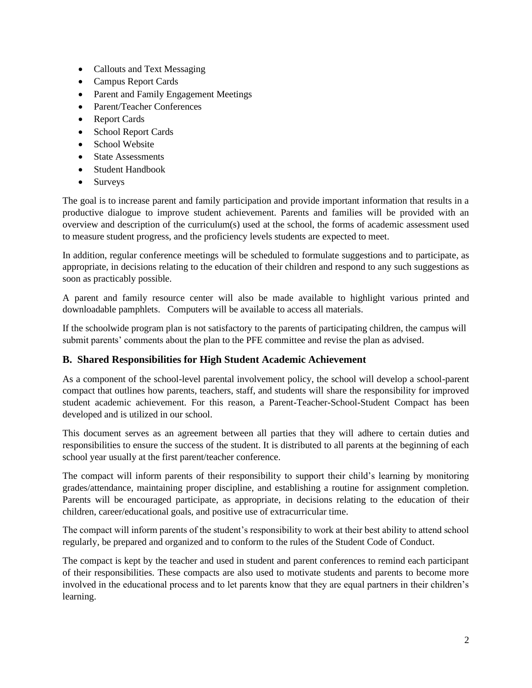- Callouts and Text Messaging
- Campus Report Cards
- Parent and Family Engagement Meetings
- Parent/Teacher Conferences
- Report Cards
- School Report Cards
- School Website
- State Assessments
- Student Handbook
- Surveys

The goal is to increase parent and family participation and provide important information that results in a productive dialogue to improve student achievement. Parents and families will be provided with an overview and description of the curriculum(s) used at the school, the forms of academic assessment used to measure student progress, and the proficiency levels students are expected to meet.

In addition, regular conference meetings will be scheduled to formulate suggestions and to participate, as appropriate, in decisions relating to the education of their children and respond to any such suggestions as soon as practicably possible.

A parent and family resource center will also be made available to highlight various printed and downloadable pamphlets. Computers will be available to access all materials.

If the schoolwide program plan is not satisfactory to the parents of participating children, the campus will submit parents' comments about the plan to the PFE committee and revise the plan as advised.

#### **B. Shared Responsibilities for High Student Academic Achievement**

As a component of the school-level parental involvement policy, the school will develop a school-parent compact that outlines how parents, teachers, staff, and students will share the responsibility for improved student academic achievement. For this reason, a Parent-Teacher-School-Student Compact has been developed and is utilized in our school.

This document serves as an agreement between all parties that they will adhere to certain duties and responsibilities to ensure the success of the student. It is distributed to all parents at the beginning of each school year usually at the first parent/teacher conference.

The compact will inform parents of their responsibility to support their child's learning by monitoring grades/attendance, maintaining proper discipline, and establishing a routine for assignment completion. Parents will be encouraged participate, as appropriate, in decisions relating to the education of their children, career/educational goals, and positive use of extracurricular time.

The compact will inform parents of the student's responsibility to work at their best ability to attend school regularly, be prepared and organized and to conform to the rules of the Student Code of Conduct.

The compact is kept by the teacher and used in student and parent conferences to remind each participant of their responsibilities. These compacts are also used to motivate students and parents to become more involved in the educational process and to let parents know that they are equal partners in their children's learning.